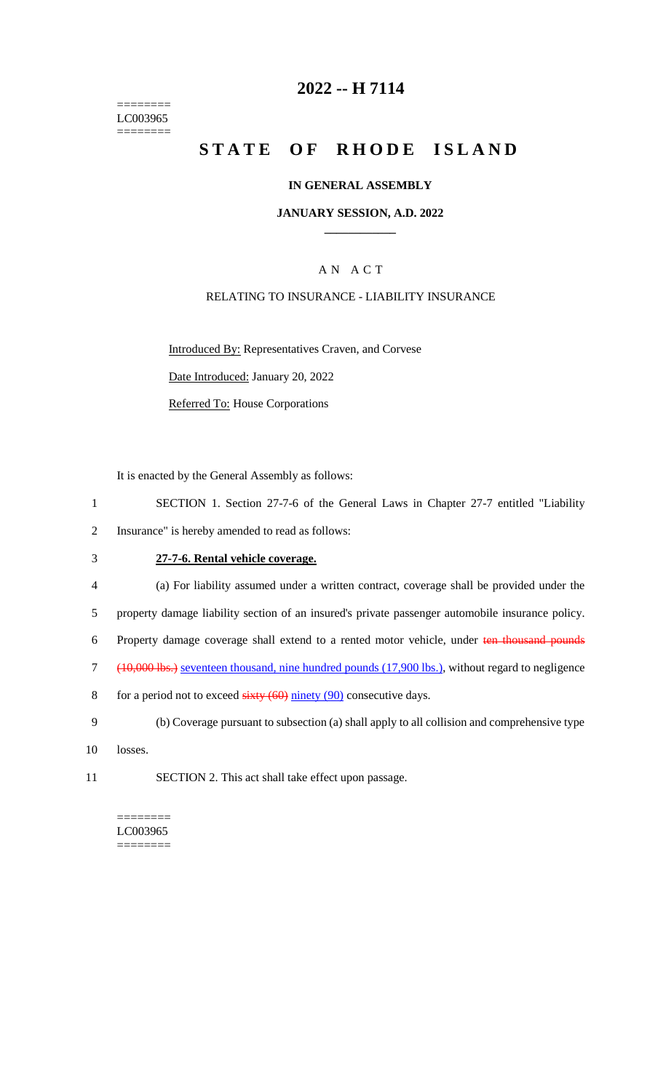======== LC003965 ========

## **2022 -- H 7114**

# **STATE OF RHODE ISLAND**

#### **IN GENERAL ASSEMBLY**

#### **JANUARY SESSION, A.D. 2022 \_\_\_\_\_\_\_\_\_\_\_\_**

## A N A C T

### RELATING TO INSURANCE - LIABILITY INSURANCE

Introduced By: Representatives Craven, and Corvese

Date Introduced: January 20, 2022

Referred To: House Corporations

It is enacted by the General Assembly as follows:

- 1 SECTION 1. Section 27-7-6 of the General Laws in Chapter 27-7 entitled "Liability 2 Insurance" is hereby amended to read as follows:
- 3 **27-7-6. Rental vehicle coverage.**
- 4 (a) For liability assumed under a written contract, coverage shall be provided under the
- 5 property damage liability section of an insured's private passenger automobile insurance policy.

6 Property damage coverage shall extend to a rented motor vehicle, under ten thousand pounds

- 7 (10,000 lbs.) seventeen thousand, nine hundred pounds (17,900 lbs.), without regard to negligence
- 8 for a period not to exceed  $sixty (60)$  ninety (90) consecutive days.
- 9 (b) Coverage pursuant to subsection (a) shall apply to all collision and comprehensive type
- 10 losses.
- 11 SECTION 2. This act shall take effect upon passage.

======== LC003965  $=$